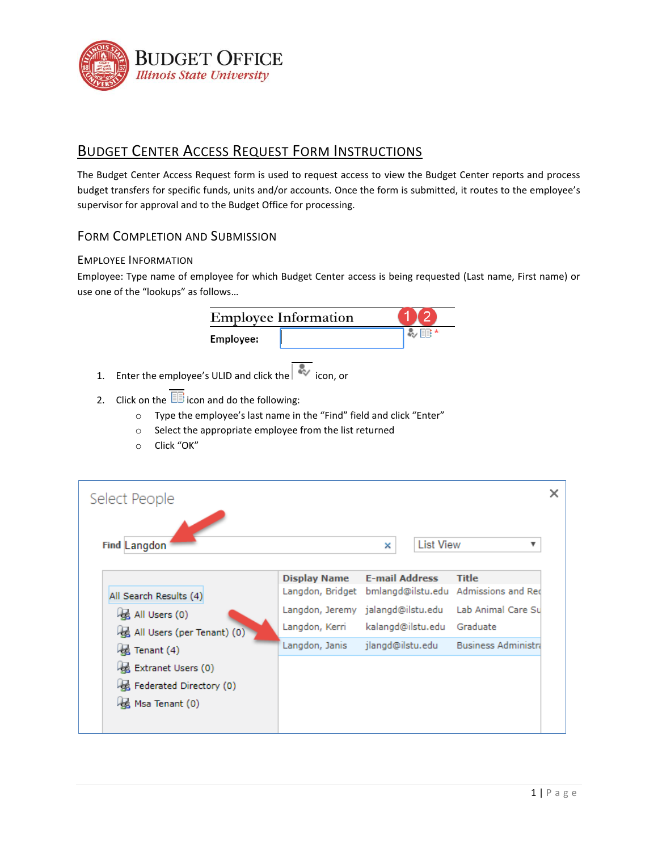

# BUDGET CENTER ACCESS REQUEST FORM INSTRUCTIONS

The Budget Center Access Request form is used to request access to view the Budget Center reports and process budget transfers for specific funds, units and/or accounts. Once the form is submitted, it routes to the employee's supervisor for approval and to the Budget Office for processing.

## FORM COMPLETION AND SUBMISSION

### EMPLOYEE INFORMATION

Employee: Type name of employee for which Budget Center access is being requested (Last name, First name) or use one of the "lookups" as follows…

|                                         | <b>Employee Information</b> |    |
|-----------------------------------------|-----------------------------|----|
| Employee:                               |                             | EE |
| Enter the employee's ULID and click the | icon, or                    |    |

- 2. Click on the  $\overline{\mathbb{B}}$  icon and do the following:
	- o Type the employee's last name in the "Find" field and click "Enter"
	- o Select the appropriate employee from the list returned
	- o Click "OK"

| Select People                                               |                                                     |                       |                  |                                                      |
|-------------------------------------------------------------|-----------------------------------------------------|-----------------------|------------------|------------------------------------------------------|
| Find Langdon                                                |                                                     | ×                     | <b>List View</b> | v                                                    |
| All Search Results (4)                                      | Display Name<br>Langdon, Bridget                    | <b>E-mail Address</b> |                  | <b>Title</b><br>bmlangd@ilstu.edu Admissions and Red |
| All Users (0)<br>All Users (per Tenant) (0)                 | Langdon, Jeremy jalangd@ilstu.edu<br>Langdon, Kerri | kalangd@ilstu.edu     |                  | Lab Animal Care Su<br>Graduate                       |
| Tenant (4)<br>Extranet Users (0)<br>Federated Directory (0) | Langdon, Janis                                      | jlangd@ilstu.edu      |                  | <b>Business Administra</b>                           |
| Msa Tenant (0)                                              |                                                     |                       |                  |                                                      |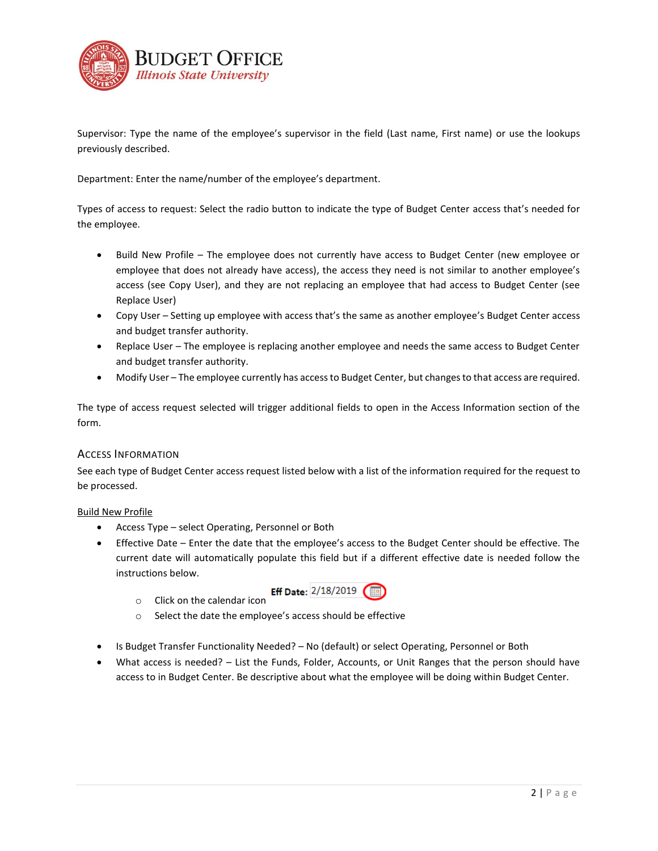

Supervisor: Type the name of the employee's supervisor in the field (Last name, First name) or use the lookups previously described.

Department: Enter the name/number of the employee's department.

Types of access to request: Select the radio button to indicate the type of Budget Center access that's needed for the employee.

- Build New Profile The employee does not currently have access to Budget Center (new employee or employee that does not already have access), the access they need is not similar to another employee's access (see Copy User), and they are not replacing an employee that had access to Budget Center (see Replace User)
- Copy User Setting up employee with access that's the same as another employee's Budget Center access and budget transfer authority.
- Replace User The employee is replacing another employee and needs the same access to Budget Center and budget transfer authority.
- Modify User The employee currently has access to Budget Center, but changes to that access are required.

The type of access request selected will trigger additional fields to open in the Access Information section of the form.

#### ACCESS INFORMATION

See each type of Budget Center access request listed below with a list of the information required for the request to be processed.

#### Build New Profile

- Access Type select Operating, Personnel or Both
- Effective Date Enter the date that the employee's access to the Budget Center should be effective. The current date will automatically populate this field but if a different effective date is needed follow the instructions below.
	-
	-
	- **Click on the calendar icon** Eff Date:  $\frac{2}{18/2019}$
	- o Select the date the employee's access should be effective
- Is Budget Transfer Functionality Needed? No (default) or select Operating, Personnel or Both
- What access is needed? List the Funds, Folder, Accounts, or Unit Ranges that the person should have access to in Budget Center. Be descriptive about what the employee will be doing within Budget Center.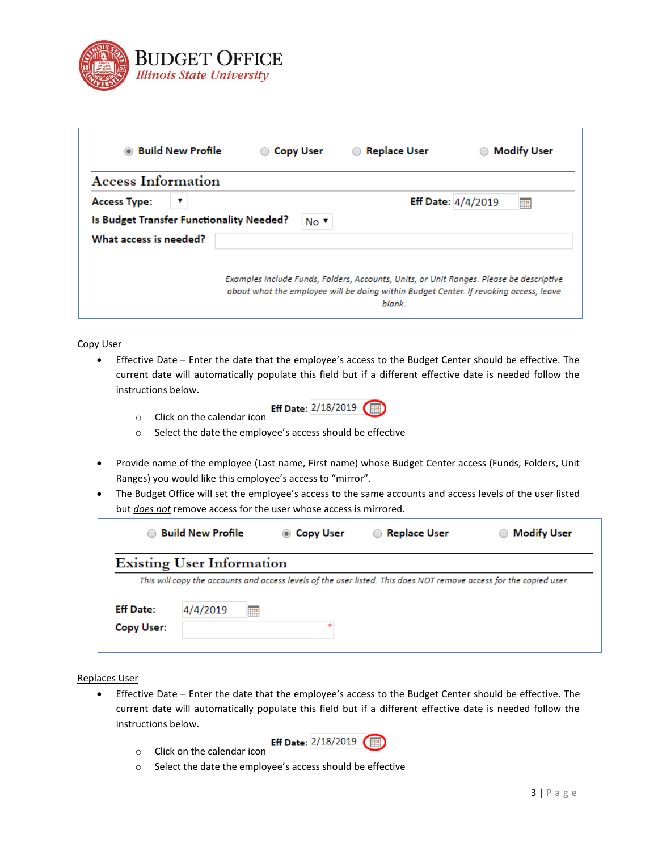

| $\circledcirc$            | <b>Build New Profile</b> | <b>Copy User</b><br>$\bigcirc$           |                                                                                                                                                                                  | <b>Replace User</b> | <b>Modify User</b> |
|---------------------------|--------------------------|------------------------------------------|----------------------------------------------------------------------------------------------------------------------------------------------------------------------------------|---------------------|--------------------|
| <b>Access Information</b> |                          |                                          |                                                                                                                                                                                  |                     |                    |
| <b>Access Type:</b>       | ▼                        |                                          |                                                                                                                                                                                  | Eff Date: 4/4/2019  | æ                  |
|                           |                          | Is Budget Transfer Functionality Needed? | No ▼                                                                                                                                                                             |                     |                    |
| What access is needed?    |                          |                                          |                                                                                                                                                                                  |                     |                    |
|                           |                          |                                          | Examples include Funds, Folders, Accounts, Units, or Unit Ranges. Please be descriptive<br>about what the employee will be doing within Budget Center. If revoking access, leave | blank.              |                    |

Copy User

• Effective Date – Enter the date that the employee's access to the Budget Center should be effective. The current date will automatically populate this field but if a different effective date is needed follow the instructions below.



- o Select the date the employee's access should be effective
- Provide name of the employee (Last name, First name) whose Budget Center access (Funds, Folders, Unit Ranges) you would like this employee's access to "mirror".
- The Budget Office will set the employee's access to the same accounts and access levels of the user listed but *does not* remove access for the user whose access is mirrored.

| ∩                              | <b>Build New Profile</b>         | ◉ Copy User | <b>Replace User</b><br>$\bigcirc$                                                                                  | <b>Modify User</b> |
|--------------------------------|----------------------------------|-------------|--------------------------------------------------------------------------------------------------------------------|--------------------|
|                                | <b>Existing User Information</b> |             |                                                                                                                    |                    |
|                                |                                  |             | This will copy the accounts and access levels of the user listed. This does NOT remove access for the copied user. |                    |
|                                | 4/4/2019                         |             |                                                                                                                    |                    |
|                                |                                  |             |                                                                                                                    |                    |
| <b>Eff Date:</b><br>Copy User: | 肿                                |             |                                                                                                                    |                    |

Replaces User

- Effective Date Enter the date that the employee's access to the Budget Center should be effective. The current date will automatically populate this field but if a different effective date is needed follow the instructions below.
	- o Click on the calendar icon



o Select the date the employee's access should be effective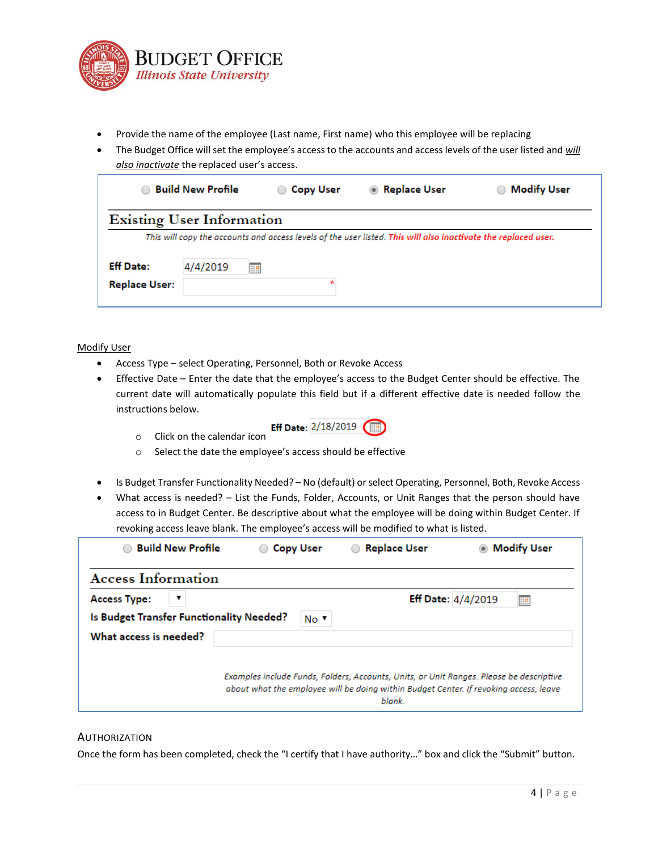

- Provide the name of the employee (Last name, First name) who this employee will be replacing
- The Budget Office will set the employee's access to the accounts and access levels of the user listed and *will also inactivate* the replaced user's access.

| This will copy the accounts and access levels of the user listed. This will also inactivate the replaced user. |  |
|----------------------------------------------------------------------------------------------------------------|--|
|                                                                                                                |  |
|                                                                                                                |  |
|                                                                                                                |  |
|                                                                                                                |  |

#### Modify User

- Access Type select Operating, Personnel, Both or Revoke Access
- Effective Date Enter the date that the employee's access to the Budget Center should be effective. The current date will automatically populate this field but if a different effective date is needed follow the instructions below.
	- **Eff Date:**  $2/18/2019$  Click on the calendar icon
	- o Select the date the employee's access should be effective
- Is Budget Transfer Functionality Needed? No (default) or select Operating, Personnel, Both, Revoke Access
- What access is needed? List the Funds, Folder, Accounts, or Unit Ranges that the person should have access to in Budget Center. Be descriptive about what the employee will be doing within Budget Center. If revoking access leave blank. The employee's access will be modified to what is listed.

| <b>Build New Profile</b>                 | <b>Copy User</b> | <b>Replace User</b>                                                                                                                                                                        | <b>Modify User</b>        |
|------------------------------------------|------------------|--------------------------------------------------------------------------------------------------------------------------------------------------------------------------------------------|---------------------------|
| <b>Access Information</b>                |                  |                                                                                                                                                                                            |                           |
| <b>Access Type:</b><br>▼                 |                  |                                                                                                                                                                                            | Eff Date: $4/4/2019$<br>Ħ |
| Is Budget Transfer Functionality Needed? | No v             |                                                                                                                                                                                            |                           |
| What access is needed?                   |                  |                                                                                                                                                                                            |                           |
|                                          |                  | Examples include Funds, Folders, Accounts, Units, or Unit Ranges. Please be descriptive<br>about what the employee will be doing within Budget Center. If revoking access, leave<br>blank. |                           |

#### AUTHORIZATION

Once the form has been completed, check the "I certify that I have authority…" box and click the "Submit" button.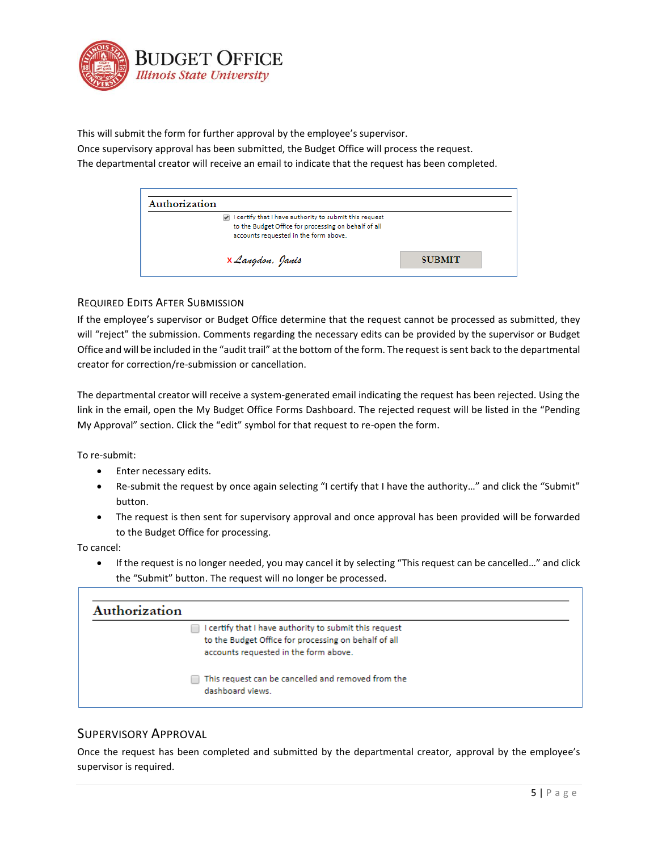

This will submit the form for further approval by the employee's supervisor.

Once supervisory approval has been submitted, the Budget Office will process the request.

The departmental creator will receive an email to indicate that the request has been completed.

| Authorization                                                                                                                                           |               |  |
|---------------------------------------------------------------------------------------------------------------------------------------------------------|---------------|--|
| I certify that I have authority to submit this request<br>to the Budget Office for processing on behalf of all<br>accounts requested in the form above. |               |  |
| X Langdon, Janis                                                                                                                                        | <b>SUBMIT</b> |  |

### REQUIRED EDITS AFTER SUBMISSION

If the employee's supervisor or Budget Office determine that the request cannot be processed as submitted, they will "reject" the submission. Comments regarding the necessary edits can be provided by the supervisor or Budget Office and will be included in the "audit trail" at the bottom of the form. The request is sent back to the departmental creator for correction/re-submission or cancellation.

The departmental creator will receive a system-generated email indicating the request has been rejected. Using the link in the email, open the My Budget Office Forms Dashboard. The rejected request will be listed in the "Pending My Approval" section. Click the "edit" symbol for that request to re-open the form.

To re-submit:

- Enter necessary edits.
- Re-submit the request by once again selecting "I certify that I have the authority…" and click the "Submit" button.
- The request is then sent for supervisory approval and once approval has been provided will be forwarded to the Budget Office for processing.

To cancel:

• If the request is no longer needed, you may cancel it by selecting "This request can be cancelled…" and click the "Submit" button. The request will no longer be processed.



### SUPERVISORY APPROVAL

Once the request has been completed and submitted by the departmental creator, approval by the employee's supervisor is required.